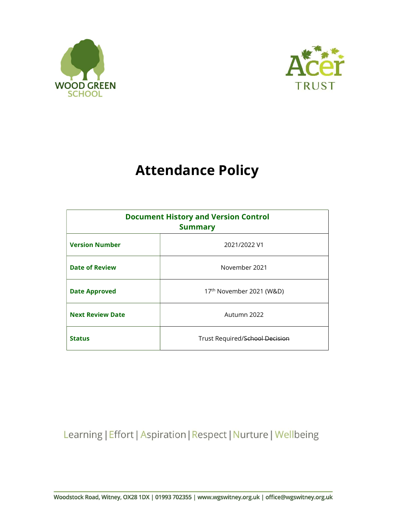



# Attendance Policy

| <b>Document History and Version Control</b><br><b>Summary</b> |                                |  |
|---------------------------------------------------------------|--------------------------------|--|
| <b>Version Number</b>                                         | 2021/2022 V1                   |  |
| <b>Date of Review</b>                                         | November 2021                  |  |
| <b>Date Approved</b>                                          | 17th November 2021 (W&D)       |  |
| <b>Next Review Date</b>                                       | Autumn 2022                    |  |
| <b>Status</b>                                                 | Trust Required/School Decision |  |

Learning | Effort | Aspiration | Respect | Nurture | Wellbeing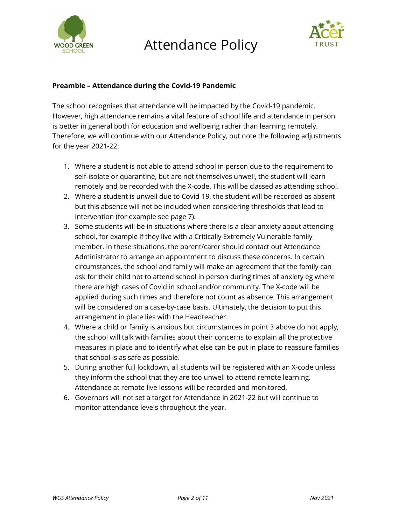

# Attendance Policy



# Preamble – Attendance during the Covid-19 Pandemic

The school recognises that attendance will be impacted by the Covid-19 pandemic. However, high attendance remains a vital feature of school life and attendance in person is better in general both for education and wellbeing rather than learning remotely. Therefore, we will continue with our Attendance Policy, but note the following adjustments for the year 2021-22:

- 1. Where a student is not able to attend school in person due to the requirement to self-isolate or quarantine, but are not themselves unwell, the student will learn remotely and be recorded with the X-code. This will be classed as attending school.
- 2. Where a student is unwell due to Covid-19, the student will be recorded as absent but this absence will not be included when considering thresholds that lead to intervention (for example see page 7).
- 3. Some students will be in situations where there is a clear anxiety about attending school, for example if they live with a Critically Extremely Vulnerable family member. In these situations, the parent/carer should contact out Attendance Administrator to arrange an appointment to discuss these concerns. In certain circumstances, the school and family will make an agreement that the family can ask for their child not to attend school in person during times of anxiety eg where there are high cases of Covid in school and/or community. The X-code will be applied during such times and therefore not count as absence. This arrangement will be considered on a case-by-case basis. Ultimately, the decision to put this arrangement in place lies with the Headteacher.
- 4. Where a child or family is anxious but circumstances in point 3 above do not apply, the school will talk with families about their concerns to explain all the protective measures in place and to identify what else can be put in place to reassure families that school is as safe as possible.
- 5. During another full lockdown, all students will be registered with an X-code unless they inform the school that they are too unwell to attend remote learning. Attendance at remote live lessons will be recorded and monitored.
- 6. Governors will not set a target for Attendance in 2021-22 but will continue to monitor attendance levels throughout the year.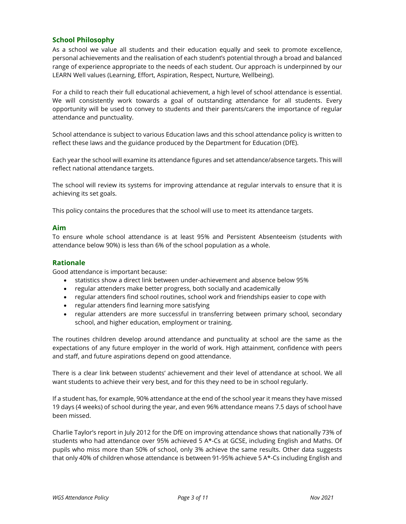# School Philosophy

As a school we value all students and their education equally and seek to promote excellence, personal achievements and the realisation of each student's potential through a broad and balanced range of experience appropriate to the needs of each student. Our approach is underpinned by our LEARN Well values (Learning, Effort, Aspiration, Respect, Nurture, Wellbeing).

For a child to reach their full educational achievement, a high level of school attendance is essential. We will consistently work towards a goal of outstanding attendance for all students. Every opportunity will be used to convey to students and their parents/carers the importance of regular attendance and punctuality.

School attendance is subject to various Education laws and this school attendance policy is written to reflect these laws and the guidance produced by the Department for Education (DfE).

Each year the school will examine its attendance figures and set attendance/absence targets. This will reflect national attendance targets.

The school will review its systems for improving attendance at regular intervals to ensure that it is achieving its set goals.

This policy contains the procedures that the school will use to meet its attendance targets.

#### Aim

To ensure whole school attendance is at least 95% and Persistent Absenteeism (students with attendance below 90%) is less than 6% of the school population as a whole.

#### Rationale

Good attendance is important because:

- statistics show a direct link between under-achievement and absence below 95%
- regular attenders make better progress, both socially and academically
- regular attenders find school routines, school work and friendships easier to cope with
- regular attenders find learning more satisfying
- regular attenders are more successful in transferring between primary school, secondary school, and higher education, employment or training.

The routines children develop around attendance and punctuality at school are the same as the expectations of any future employer in the world of work. High attainment, confidence with peers and staff, and future aspirations depend on good attendance.

There is a clear link between students' achievement and their level of attendance at school. We all want students to achieve their very best, and for this they need to be in school regularly.

If a student has, for example, 90% attendance at the end of the school year it means they have missed 19 days (4 weeks) of school during the year, and even 96% attendance means 7.5 days of school have been missed.

Charlie Taylor's report in July 2012 for the DfE on improving attendance shows that nationally 73% of students who had attendance over 95% achieved 5 A\*-Cs at GCSE, including English and Maths. Of pupils who miss more than 50% of school, only 3% achieve the same results. Other data suggests that only 40% of children whose attendance is between 91-95% achieve 5 A\*-Cs including English and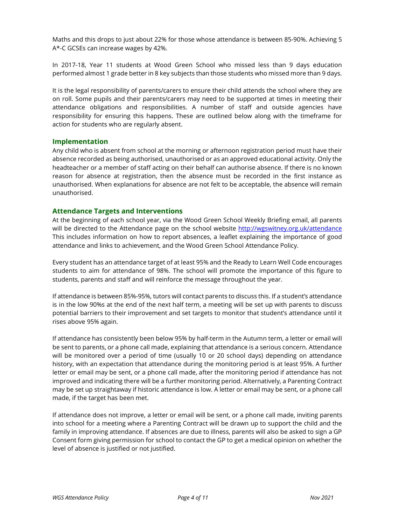Maths and this drops to just about 22% for those whose attendance is between 85-90%. Achieving 5 A\*-C GCSEs can increase wages by 42%.

In 2017-18, Year 11 students at Wood Green School who missed less than 9 days education performed almost 1 grade better in 8 key subjects than those students who missed more than 9 days.

It is the legal responsibility of parents/carers to ensure their child attends the school where they are on roll. Some pupils and their parents/carers may need to be supported at times in meeting their attendance obligations and responsibilities. A number of staff and outside agencies have responsibility for ensuring this happens. These are outlined below along with the timeframe for action for students who are regularly absent.

#### Implementation

Any child who is absent from school at the morning or afternoon registration period must have their absence recorded as being authorised, unauthorised or as an approved educational activity. Only the headteacher or a member of staff acting on their behalf can authorise absence. If there is no known reason for absence at registration, then the absence must be recorded in the first instance as unauthorised. When explanations for absence are not felt to be acceptable, the absence will remain unauthorised.

#### Attendance Targets and Interventions

At the beginning of each school year, via the Wood Green School Weekly Briefing email, all parents will be directed to the Attendance page on the school website http://wgswitney.org.uk/attendance This includes information on how to report absences, a leaflet explaining the importance of good attendance and links to achievement, and the Wood Green School Attendance Policy.

Every student has an attendance target of at least 95% and the Ready to Learn Well Code encourages students to aim for attendance of 98%. The school will promote the importance of this figure to students, parents and staff and will reinforce the message throughout the year.

If attendance is between 85%-95%, tutors will contact parents to discuss this. If a student's attendance is in the low 90%s at the end of the next half term, a meeting will be set up with parents to discuss potential barriers to their improvement and set targets to monitor that student's attendance until it rises above 95% again.

If attendance has consistently been below 95% by half-term in the Autumn term, a letter or email will be sent to parents, or a phone call made, explaining that attendance is a serious concern. Attendance will be monitored over a period of time (usually 10 or 20 school days) depending on attendance history, with an expectation that attendance during the monitoring period is at least 95%. A further letter or email may be sent, or a phone call made, after the monitoring period if attendance has not improved and indicating there will be a further monitoring period. Alternatively, a Parenting Contract may be set up straightaway if historic attendance is low. A letter or email may be sent, or a phone call made, if the target has been met.

If attendance does not improve, a letter or email will be sent, or a phone call made, inviting parents into school for a meeting where a Parenting Contract will be drawn up to support the child and the family in improving attendance. If absences are due to illness, parents will also be asked to sign a GP Consent form giving permission for school to contact the GP to get a medical opinion on whether the level of absence is justified or not justified.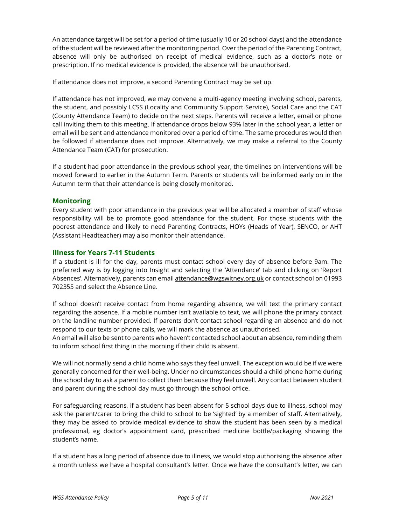An attendance target will be set for a period of time (usually 10 or 20 school days) and the attendance of the student will be reviewed after the monitoring period. Over the period of the Parenting Contract, absence will only be authorised on receipt of medical evidence, such as a doctor's note or prescription. If no medical evidence is provided, the absence will be unauthorised.

If attendance does not improve, a second Parenting Contract may be set up.

If attendance has not improved, we may convene a multi-agency meeting involving school, parents, the student, and possibly LCSS (Locality and Community Support Service), Social Care and the CAT (County Attendance Team) to decide on the next steps. Parents will receive a letter, email or phone call inviting them to this meeting. If attendance drops below 93% later in the school year, a letter or email will be sent and attendance monitored over a period of time. The same procedures would then be followed if attendance does not improve. Alternatively, we may make a referral to the County Attendance Team (CAT) for prosecution.

If a student had poor attendance in the previous school year, the timelines on interventions will be moved forward to earlier in the Autumn Term. Parents or students will be informed early on in the Autumn term that their attendance is being closely monitored.

# **Monitoring**

Every student with poor attendance in the previous year will be allocated a member of staff whose responsibility will be to promote good attendance for the student. For those students with the poorest attendance and likely to need Parenting Contracts, HOYs (Heads of Year), SENCO, or AHT (Assistant Headteacher) may also monitor their attendance.

# Illness for Years 7-11 Students

If a student is ill for the day, parents must contact school every day of absence before 9am. The preferred way is by logging into Insight and selecting the 'Attendance' tab and clicking on 'Report Absences'. Alternatively, parents can email attendance@wgswitney.org.uk or contact school on 01993 702355 and select the Absence Line.

If school doesn't receive contact from home regarding absence, we will text the primary contact regarding the absence. If a mobile number isn't available to text, we will phone the primary contact on the landline number provided. If parents don't contact school regarding an absence and do not respond to our texts or phone calls, we will mark the absence as unauthorised.

An email will also be sent to parents who haven't contacted school about an absence, reminding them to inform school first thing in the morning if their child is absent.

We will not normally send a child home who says they feel unwell. The exception would be if we were generally concerned for their well-being. Under no circumstances should a child phone home during the school day to ask a parent to collect them because they feel unwell. Any contact between student and parent during the school day must go through the school office.

For safeguarding reasons, if a student has been absent for 5 school days due to illness, school may ask the parent/carer to bring the child to school to be 'sighted' by a member of staff. Alternatively, they may be asked to provide medical evidence to show the student has been seen by a medical professional, eg doctor's appointment card, prescribed medicine bottle/packaging showing the student's name.

If a student has a long period of absence due to illness, we would stop authorising the absence after a month unless we have a hospital consultant's letter. Once we have the consultant's letter, we can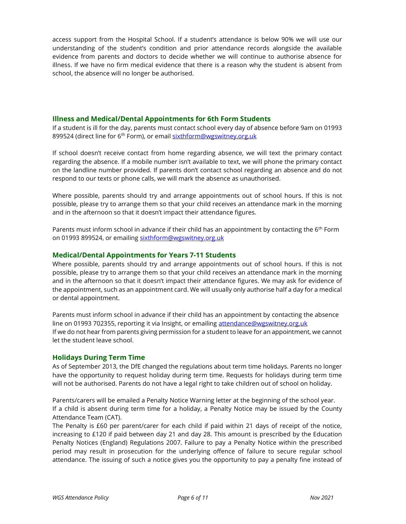access support from the Hospital School. If a student's attendance is below 90% we will use our understanding of the student's condition and prior attendance records alongside the available evidence from parents and doctors to decide whether we will continue to authorise absence for illness. If we have no firm medical evidence that there is a reason why the student is absent from school, the absence will no longer be authorised.

# Illness and Medical/Dental Appointments for 6th Form Students

If a student is ill for the day, parents must contact school every day of absence before 9am on 01993 899524 (direct line for 6<sup>th</sup> Form), or email sixthform@wgswitney.org.uk

If school doesn't receive contact from home regarding absence, we will text the primary contact regarding the absence. If a mobile number isn't available to text, we will phone the primary contact on the landline number provided. If parents don't contact school regarding an absence and do not respond to our texts or phone calls, we will mark the absence as unauthorised.

Where possible, parents should try and arrange appointments out of school hours. If this is not possible, please try to arrange them so that your child receives an attendance mark in the morning and in the afternoon so that it doesn't impact their attendance figures.

Parents must inform school in advance if their child has an appointment by contacting the 6<sup>th</sup> Form on 01993 899524, or emailing sixthform@wgswitney.org.uk

#### Medical/Dental Appointments for Years 7-11 Students

Where possible, parents should try and arrange appointments out of school hours. If this is not possible, please try to arrange them so that your child receives an attendance mark in the morning and in the afternoon so that it doesn't impact their attendance figures. We may ask for evidence of the appointment, such as an appointment card. We will usually only authorise half a day for a medical or dental appointment.

Parents must inform school in advance if their child has an appointment by contacting the absence line on 01993 702355, reporting it via Insight, or emailing attendance@wgswitney.org.uk If we do not hear from parents giving permission for a student to leave for an appointment, we cannot let the student leave school.

#### Holidays During Term Time

As of September 2013, the DfE changed the regulations about term time holidays. Parents no longer have the opportunity to request holiday during term time. Requests for holidays during term time will not be authorised. Parents do not have a legal right to take children out of school on holiday.

Parents/carers will be emailed a Penalty Notice Warning letter at the beginning of the school year. If a child is absent during term time for a holiday, a Penalty Notice may be issued by the County Attendance Team (CAT).

The Penalty is £60 per parent/carer for each child if paid within 21 days of receipt of the notice, increasing to £120 if paid between day 21 and day 28. This amount is prescribed by the Education Penalty Notices (England) Regulations 2007. Failure to pay a Penalty Notice within the prescribed period may result in prosecution for the underlying offence of failure to secure regular school attendance. The issuing of such a notice gives you the opportunity to pay a penalty fine instead of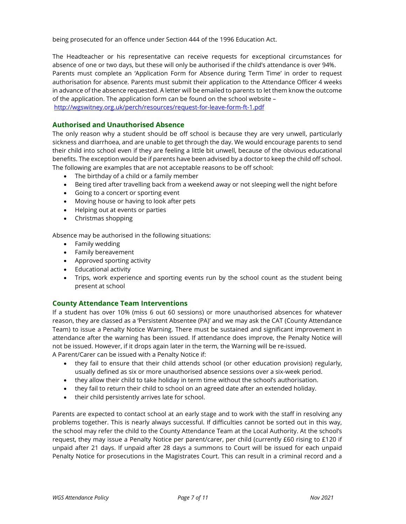being prosecuted for an offence under Section 444 of the 1996 Education Act.

The Headteacher or his representative can receive requests for exceptional circumstances for absence of one or two days, but these will only be authorised if the child's attendance is over 94%. Parents must complete an 'Application Form for Absence during Term Time' in order to request authorisation for absence. Parents must submit their application to the Attendance Officer 4 weeks in advance of the absence requested. A letter will be emailed to parents to let them know the outcome of the application. The application form can be found on the school website –

http://wgswitney.org.uk/perch/resources/request-for-leave-form-ft-1.pdf

# Authorised and Unauthorised Absence

The only reason why a student should be off school is because they are very unwell, particularly sickness and diarrhoea, and are unable to get through the day. We would encourage parents to send their child into school even if they are feeling a little bit unwell, because of the obvious educational benefits. The exception would be if parents have been advised by a doctor to keep the child off school. The following are examples that are not acceptable reasons to be off school:

- The birthday of a child or a family member
- Being tired after travelling back from a weekend away or not sleeping well the night before
- Going to a concert or sporting event
- Moving house or having to look after pets
- Helping out at events or parties
- Christmas shopping

Absence may be authorised in the following situations:

- Family wedding
- Family bereavement
- Approved sporting activity
- Educational activity
- Trips, work experience and sporting events run by the school count as the student being present at school

# County Attendance Team Interventions

If a student has over 10% (miss 6 out 60 sessions) or more unauthorised absences for whatever reason, they are classed as a 'Persistent Absentee (PA)' and we may ask the CAT (County Attendance Team) to issue a Penalty Notice Warning. There must be sustained and significant improvement in attendance after the warning has been issued. If attendance does improve, the Penalty Notice will not be issued. However, if it drops again later in the term, the Warning will be re-issued. A Parent/Carer can be issued with a Penalty Notice if:

- they fail to ensure that their child attends school (or other education provision) regularly, usually defined as six or more unauthorised absence sessions over a six-week period.
- they allow their child to take holiday in term time without the school's authorisation.
- they fail to return their child to school on an agreed date after an extended holiday.
- their child persistently arrives late for school.

Parents are expected to contact school at an early stage and to work with the staff in resolving any problems together. This is nearly always successful. If difficulties cannot be sorted out in this way, the school may refer the child to the County Attendance Team at the Local Authority. At the school's request, they may issue a Penalty Notice per parent/carer, per child (currently £60 rising to £120 if unpaid after 21 days. If unpaid after 28 days a summons to Court will be issued for each unpaid Penalty Notice for prosecutions in the Magistrates Court. This can result in a criminal record and a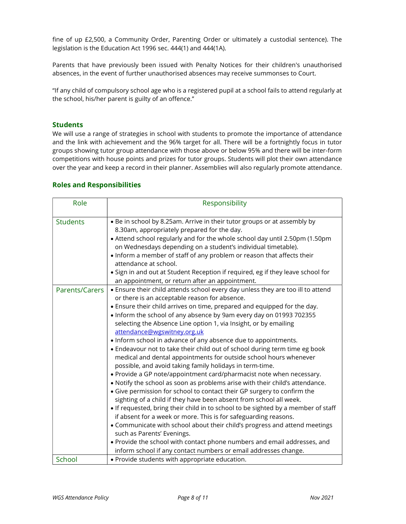fine of up £2,500, a Community Order, Parenting Order or ultimately a custodial sentence). The legislation is the Education Act 1996 sec. 444(1) and 444(1A).

Parents that have previously been issued with Penalty Notices for their children's unauthorised absences, in the event of further unauthorised absences may receive summonses to Court.

"If any child of compulsory school age who is a registered pupil at a school fails to attend regularly at the school, his/her parent is guilty of an offence.''

#### **Students**

We will use a range of strategies in school with students to promote the importance of attendance and the link with achievement and the 96% target for all. There will be a fortnightly focus in tutor groups showing tutor group attendance with those above or below 95% and there will be inter-form competitions with house points and prizes for tutor groups. Students will plot their own attendance over the year and keep a record in their planner. Assemblies will also regularly promote attendance.

#### Roles and Responsibilities

| Role            | Responsibility                                                                                                                                                                                                                                                                                                                                                                                                                                                                                                                                                                                                                                                                                                                                                                                                                                                                                                                                                                                                                                                                                                                                                                                                                                                                                                                                                                                      |
|-----------------|-----------------------------------------------------------------------------------------------------------------------------------------------------------------------------------------------------------------------------------------------------------------------------------------------------------------------------------------------------------------------------------------------------------------------------------------------------------------------------------------------------------------------------------------------------------------------------------------------------------------------------------------------------------------------------------------------------------------------------------------------------------------------------------------------------------------------------------------------------------------------------------------------------------------------------------------------------------------------------------------------------------------------------------------------------------------------------------------------------------------------------------------------------------------------------------------------------------------------------------------------------------------------------------------------------------------------------------------------------------------------------------------------------|
| <b>Students</b> | . Be in school by 8.25am. Arrive in their tutor groups or at assembly by<br>8.30am, appropriately prepared for the day.<br>• Attend school regularly and for the whole school day until 2.50pm (1.50pm<br>on Wednesdays depending on a student's individual timetable).<br>• Inform a member of staff of any problem or reason that affects their<br>attendance at school.<br>• Sign in and out at Student Reception if required, eg if they leave school for<br>an appointment, or return after an appointment.                                                                                                                                                                                                                                                                                                                                                                                                                                                                                                                                                                                                                                                                                                                                                                                                                                                                                    |
| Parents/Carers  | • Ensure their child attends school every day unless they are too ill to attend<br>or there is an acceptable reason for absence.<br>• Ensure their child arrives on time, prepared and equipped for the day.<br>. Inform the school of any absence by 9am every day on 01993 702355<br>selecting the Absence Line option 1, via Insight, or by emailing<br>attendance@wgswitney.org.uk<br>. Inform school in advance of any absence due to appointments.<br>• Endeavour not to take their child out of school during term time eg book<br>medical and dental appointments for outside school hours whenever<br>possible, and avoid taking family holidays in term-time.<br>• Provide a GP note/appointment card/pharmacist note when necessary.<br>. Notify the school as soon as problems arise with their child's attendance.<br>• Give permission for school to contact their GP surgery to confirm the<br>sighting of a child if they have been absent from school all week.<br>. If requested, bring their child in to school to be sighted by a member of staff<br>if absent for a week or more. This is for safeguarding reasons.<br>• Communicate with school about their child's progress and attend meetings<br>such as Parents' Evenings.<br>. Provide the school with contact phone numbers and email addresses, and<br>inform school if any contact numbers or email addresses change. |
| School          | • Provide students with appropriate education.                                                                                                                                                                                                                                                                                                                                                                                                                                                                                                                                                                                                                                                                                                                                                                                                                                                                                                                                                                                                                                                                                                                                                                                                                                                                                                                                                      |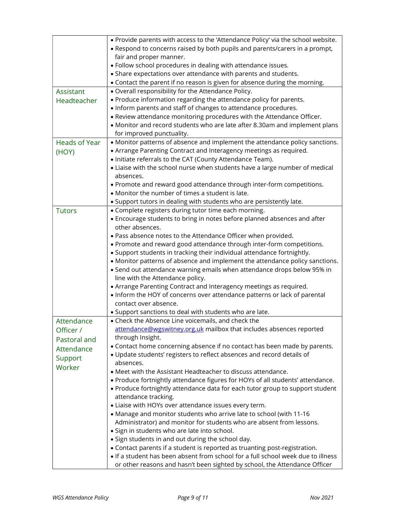|                      | . Provide parents with access to the 'Attendance Policy' via the school website.<br>• Respond to concerns raised by both pupils and parents/carers in a prompt,<br>fair and proper manner. |
|----------------------|--------------------------------------------------------------------------------------------------------------------------------------------------------------------------------------------|
|                      | · Follow school procedures in dealing with attendance issues.                                                                                                                              |
|                      | • Share expectations over attendance with parents and students.                                                                                                                            |
|                      | • Contact the parent if no reason is given for absence during the morning.                                                                                                                 |
| Assistant            | . Overall responsibility for the Attendance Policy.                                                                                                                                        |
| Headteacher          | • Produce information regarding the attendance policy for parents.                                                                                                                         |
|                      | . Inform parents and staff of changes to attendance procedures.                                                                                                                            |
|                      | . Review attendance monitoring procedures with the Attendance Officer.                                                                                                                     |
|                      | • Monitor and record students who are late after 8.30am and implement plans                                                                                                                |
|                      | for improved punctuality.                                                                                                                                                                  |
| <b>Heads of Year</b> | • Monitor patterns of absence and implement the attendance policy sanctions.                                                                                                               |
| (HOY)                | • Arrange Parenting Contract and Interagency meetings as required.                                                                                                                         |
|                      | • Initiate referrals to the CAT (County Attendance Team).                                                                                                                                  |
|                      | • Liaise with the school nurse when students have a large number of medical                                                                                                                |
|                      | absences.                                                                                                                                                                                  |
|                      | . Promote and reward good attendance through inter-form competitions.<br>• Monitor the number of times a student is late.                                                                  |
|                      | • Support tutors in dealing with students who are persistently late.                                                                                                                       |
| <b>Tutors</b>        | • Complete registers during tutor time each morning.                                                                                                                                       |
|                      | • Encourage students to bring in notes before planned absences and after                                                                                                                   |
|                      | other absences.                                                                                                                                                                            |
|                      | . Pass absence notes to the Attendance Officer when provided.                                                                                                                              |
|                      | . Promote and reward good attendance through inter-form competitions.                                                                                                                      |
|                      | • Support students in tracking their individual attendance fortnightly.                                                                                                                    |
|                      | • Monitor patterns of absence and implement the attendance policy sanctions.                                                                                                               |
|                      | • Send out attendance warning emails when attendance drops below 95% in                                                                                                                    |
|                      | line with the Attendance policy.                                                                                                                                                           |
|                      | • Arrange Parenting Contract and Interagency meetings as required.                                                                                                                         |
|                      | • Inform the HOY of concerns over attendance patterns or lack of parental                                                                                                                  |
|                      | contact over absence.                                                                                                                                                                      |
|                      | • Support sanctions to deal with students who are late.                                                                                                                                    |
| Attendance           | • Check the Absence Line voicemails, and check the                                                                                                                                         |
| Officer /            | attendance@wgswitney.org.uk mailbox that includes absences reported<br>through Insight.                                                                                                    |
| Pastoral and         | • Contact home concerning absence if no contact has been made by parents.                                                                                                                  |
| Attendance           | . Update students' registers to reflect absences and record details of                                                                                                                     |
| Support              | absences.                                                                                                                                                                                  |
| Worker               | • Meet with the Assistant Headteacher to discuss attendance.                                                                                                                               |
|                      | . Produce fortnightly attendance figures for HOYs of all students' attendance.                                                                                                             |
|                      | • Produce fortnightly attendance data for each tutor group to support student                                                                                                              |
|                      | attendance tracking.                                                                                                                                                                       |
|                      | • Liaise with HOYs over attendance issues every term.                                                                                                                                      |
|                      | • Manage and monitor students who arrive late to school (with 11-16                                                                                                                        |
|                      | Administrator) and monitor for students who are absent from lessons.                                                                                                                       |
|                      | • Sign in students who are late into school.                                                                                                                                               |
|                      | • Sign students in and out during the school day.                                                                                                                                          |
|                      | • Contact parents if a student is reported as truanting post-registration.                                                                                                                 |
|                      | . If a student has been absent from school for a full school week due to illness<br>or other reasons and hasn't been sighted by school, the Attendance Officer                             |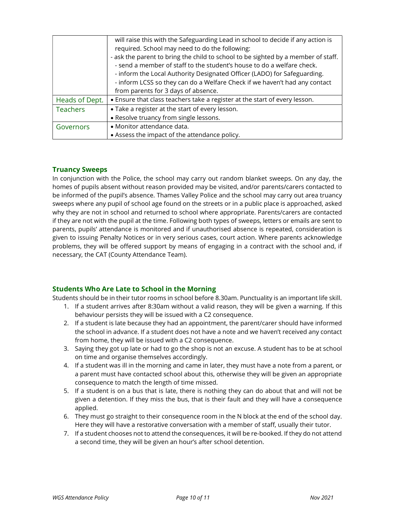|                 | will raise this with the Safeguarding Lead in school to decide if any action is<br>required. School may need to do the following:                                                             |
|-----------------|-----------------------------------------------------------------------------------------------------------------------------------------------------------------------------------------------|
|                 | - ask the parent to bring the child to school to be sighted by a member of staff.<br>- send a member of staff to the student's house to do a welfare check.                                   |
|                 | - inform the Local Authority Designated Officer (LADO) for Safeguarding.<br>- inform LCSS so they can do a Welfare Check if we haven't had any contact<br>from parents for 3 days of absence. |
| Heads of Dept.  | • Ensure that class teachers take a register at the start of every lesson.                                                                                                                    |
| <b>Teachers</b> | • Take a register at the start of every lesson.<br>• Resolve truancy from single lessons.                                                                                                     |
| Governors       | • Monitor attendance data.<br>• Assess the impact of the attendance policy.                                                                                                                   |

# Truancy Sweeps

In conjunction with the Police, the school may carry out random blanket sweeps. On any day, the homes of pupils absent without reason provided may be visited, and/or parents/carers contacted to be informed of the pupil's absence. Thames Valley Police and the school may carry out area truancy sweeps where any pupil of school age found on the streets or in a public place is approached, asked why they are not in school and returned to school where appropriate. Parents/carers are contacted if they are not with the pupil at the time. Following both types of sweeps, letters or emails are sent to parents, pupils' attendance is monitored and if unauthorised absence is repeated, consideration is given to issuing Penalty Notices or in very serious cases, court action. Where parents acknowledge problems, they will be offered support by means of engaging in a contract with the school and, if necessary, the CAT (County Attendance Team).

# Students Who Are Late to School in the Morning

Students should be in their tutor rooms in school before 8.30am. Punctuality is an important life skill.

- 1. If a student arrives after 8:30am without a valid reason, they will be given a warning. If this behaviour persists they will be issued with a C2 consequence.
- 2. If a student is late because they had an appointment, the parent/carer should have informed the school in advance. If a student does not have a note and we haven't received any contact from home, they will be issued with a C2 consequence.
- 3. Saying they got up late or had to go the shop is not an excuse. A student has to be at school on time and organise themselves accordingly.
- 4. If a student was ill in the morning and came in later, they must have a note from a parent, or a parent must have contacted school about this, otherwise they will be given an appropriate consequence to match the length of time missed.
- 5. If a student is on a bus that is late, there is nothing they can do about that and will not be given a detention. If they miss the bus, that is their fault and they will have a consequence applied.
- 6. They must go straight to their consequence room in the N block at the end of the school day. Here they will have a restorative conversation with a member of staff, usually their tutor.
- 7. If a student chooses not to attend the consequences, it will be re-booked. If they do not attend a second time, they will be given an hour's after school detention.